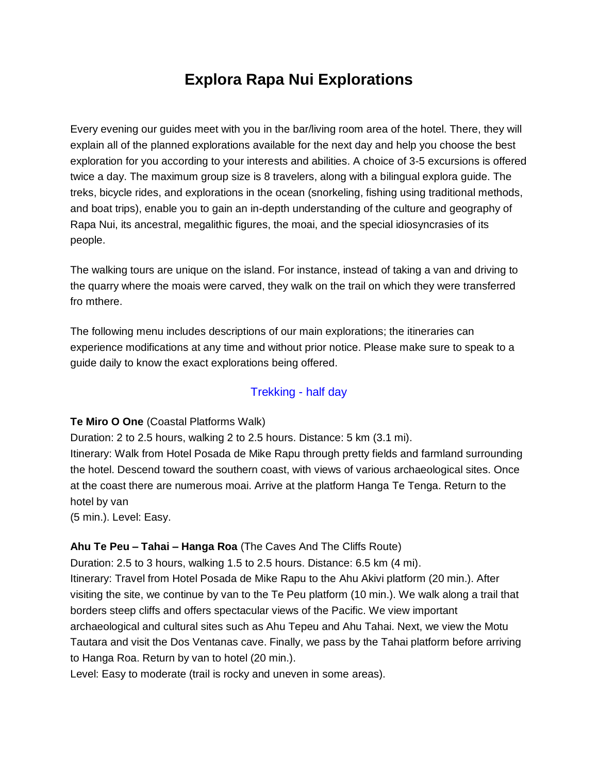# **Explora Rapa Nui Explorations**

Every evening our guides meet with you in the bar/living room area of the hotel. There, they will explain all of the planned explorations available for the next day and help you choose the best exploration for you according to your interests and abilities. A choice of 3-5 excursions is offered twice a day. The maximum group size is 8 travelers, along with a bilingual explora guide. The treks, bicycle rides, and explorations in the ocean (snorkeling, fishing using traditional methods, and boat trips), enable you to gain an in-depth understanding of the culture and geography of Rapa Nui, its ancestral, megalithic figures, the moai, and the special idiosyncrasies of its people.

The walking tours are unique on the island. For instance, instead of taking a van and driving to the quarry where the moais were carved, they walk on the trail on which they were transferred fro mthere.

The following menu includes descriptions of our main explorations; the itineraries can experience modifications at any time and without prior notice. Please make sure to speak to a guide daily to know the exact explorations being offered.

# Trekking - half day

## **Te Miro O One** (Coastal Platforms Walk)

Duration: 2 to 2.5 hours, walking 2 to 2.5 hours. Distance: 5 km (3.1 mi).

Itinerary: Walk from Hotel Posada de Mike Rapu through pretty fields and farmland surrounding the hotel. Descend toward the southern coast, with views of various archaeological sites. Once at the coast there are numerous moai. Arrive at the platform Hanga Te Tenga. Return to the hotel by van

(5 min.). Level: Easy.

## **Ahu Te Peu – Tahai – Hanga Roa** (The Caves And The Cliffs Route)

Duration: 2.5 to 3 hours, walking 1.5 to 2.5 hours. Distance: 6.5 km (4 mi). Itinerary: Travel from Hotel Posada de Mike Rapu to the Ahu Akivi platform (20 min.). After visiting the site, we continue by van to the Te Peu platform (10 min.). We walk along a trail that borders steep cliffs and offers spectacular views of the Pacific. We view important archaeological and cultural sites such as Ahu Tepeu and Ahu Tahai. Next, we view the Motu Tautara and visit the Dos Ventanas cave. Finally, we pass by the Tahai platform before arriving to Hanga Roa. Return by van to hotel (20 min.).

Level: Easy to moderate (trail is rocky and uneven in some areas).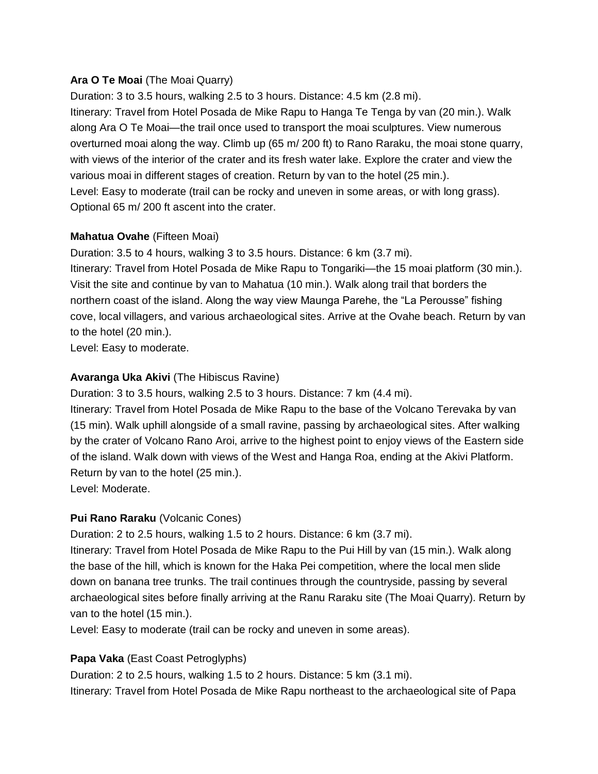## **Ara O Te Moai** (The Moai Quarry)

Duration: 3 to 3.5 hours, walking 2.5 to 3 hours. Distance: 4.5 km (2.8 mi). Itinerary: Travel from Hotel Posada de Mike Rapu to Hanga Te Tenga by van (20 min.). Walk along Ara O Te Moai—the trail once used to transport the moai sculptures. View numerous overturned moai along the way. Climb up (65 m/ 200 ft) to Rano Raraku, the moai stone quarry, with views of the interior of the crater and its fresh water lake. Explore the crater and view the various moai in different stages of creation. Return by van to the hotel (25 min.). Level: Easy to moderate (trail can be rocky and uneven in some areas, or with long grass). Optional 65 m/ 200 ft ascent into the crater.

## **Mahatua Ovahe** (Fifteen Moai)

Duration: 3.5 to 4 hours, walking 3 to 3.5 hours. Distance: 6 km (3.7 mi).

Itinerary: Travel from Hotel Posada de Mike Rapu to Tongariki—the 15 moai platform (30 min.). Visit the site and continue by van to Mahatua (10 min.). Walk along trail that borders the northern coast of the island. Along the way view Maunga Parehe, the "La Perousse" fishing cove, local villagers, and various archaeological sites. Arrive at the Ovahe beach. Return by van to the hotel (20 min.).

Level: Easy to moderate.

## **Avaranga Uka Akivi** (The Hibiscus Ravine)

Duration: 3 to 3.5 hours, walking 2.5 to 3 hours. Distance: 7 km (4.4 mi).

Itinerary: Travel from Hotel Posada de Mike Rapu to the base of the Volcano Terevaka by van (15 min). Walk uphill alongside of a small ravine, passing by archaeological sites. After walking by the crater of Volcano Rano Aroi, arrive to the highest point to enjoy views of the Eastern side of the island. Walk down with views of the West and Hanga Roa, ending at the Akivi Platform. Return by van to the hotel (25 min.).

Level: Moderate.

## **Pui Rano Raraku** (Volcanic Cones)

Duration: 2 to 2.5 hours, walking 1.5 to 2 hours. Distance: 6 km (3.7 mi).

Itinerary: Travel from Hotel Posada de Mike Rapu to the Pui Hill by van (15 min.). Walk along the base of the hill, which is known for the Haka Pei competition, where the local men slide down on banana tree trunks. The trail continues through the countryside, passing by several archaeological sites before finally arriving at the Ranu Raraku site (The Moai Quarry). Return by van to the hotel (15 min.).

Level: Easy to moderate (trail can be rocky and uneven in some areas).

# **Papa Vaka** (East Coast Petroglyphs)

Duration: 2 to 2.5 hours, walking 1.5 to 2 hours. Distance: 5 km (3.1 mi). Itinerary: Travel from Hotel Posada de Mike Rapu northeast to the archaeological site of Papa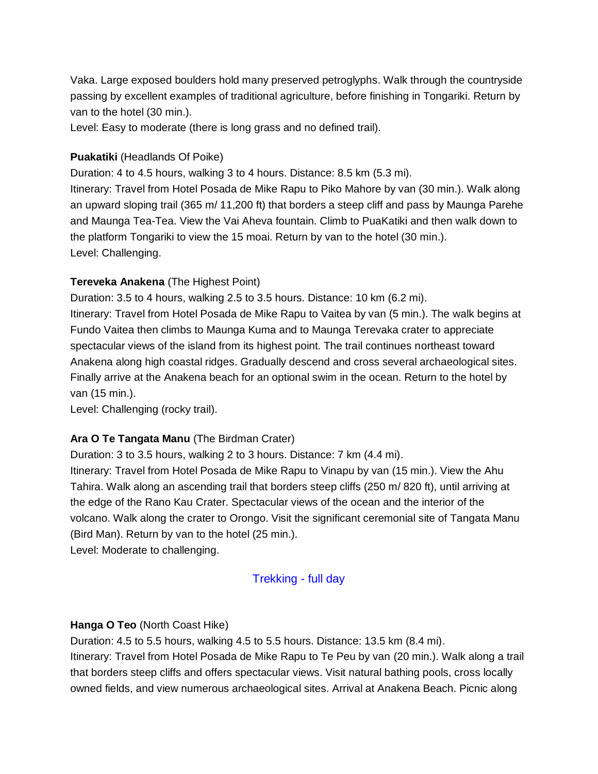Vaka. Large exposed boulders hold many preserved petroglyphs. Walk through the countryside passing by excellent examples of traditional agriculture, before finishing in Tongariki. Return by van to the hotel (30 min.).

Level: Easy to moderate (there is long grass and no defined trail).

#### **Puakatiki** (Headlands Of Poike)

Duration: 4 to 4.5 hours, walking 3 to 4 hours. Distance: 8.5 km (5.3 mi).

Itinerary: Travel from Hotel Posada de Mike Rapu to Piko Mahore by van (30 min.). Walk along an upward sloping trail (365 m/ 11,200 ft) that borders a steep cliff and pass by Maunga Parehe and Maunga Tea-Tea. View the Vai Aheva fountain. Climb to PuaKatiki and then walk down to the platform Tongariki to view the 15 moai. Return by van to the hotel (30 min.). Level: Challenging.

#### **Tereveka Anakena** (The Highest Point)

Duration: 3.5 to 4 hours, walking 2.5 to 3.5 hours. Distance: 10 km (6.2 mi).

Itinerary: Travel from Hotel Posada de Mike Rapu to Vaitea by van (5 min.). The walk begins at Fundo Vaitea then climbs to Maunga Kuma and to Maunga Terevaka crater to appreciate spectacular views of the island from its highest point. The trail continues northeast toward Anakena along high coastal ridges. Gradually descend and cross several archaeological sites. Finally arrive at the Anakena beach for an optional swim in the ocean. Return to the hotel by van (15 min.).

Level: Challenging (rocky trail).

#### **Ara O Te Tangata Manu** (The Birdman Crater)

Duration: 3 to 3.5 hours, walking 2 to 3 hours. Distance: 7 km (4.4 mi). Itinerary: Travel from Hotel Posada de Mike Rapu to Vinapu by van (15 min.). View the Ahu Tahira. Walk along an ascending trail that borders steep cliffs (250 m/ 820 ft), until arriving at the edge of the Rano Kau Crater. Spectacular views of the ocean and the interior of the volcano. Walk along the crater to Orongo. Visit the significant ceremonial site of Tangata Manu (Bird Man). Return by van to the hotel (25 min.).

Level: Moderate to challenging.

#### Trekking - full day

#### **Hanga O Teo** (North Coast Hike)

Duration: 4.5 to 5.5 hours, walking 4.5 to 5.5 hours. Distance: 13.5 km (8.4 mi).

Itinerary: Travel from Hotel Posada de Mike Rapu to Te Peu by van (20 min.). Walk along a trail that borders steep cliffs and offers spectacular views. Visit natural bathing pools, cross locally owned fields, and view numerous archaeological sites. Arrival at Anakena Beach. Picnic along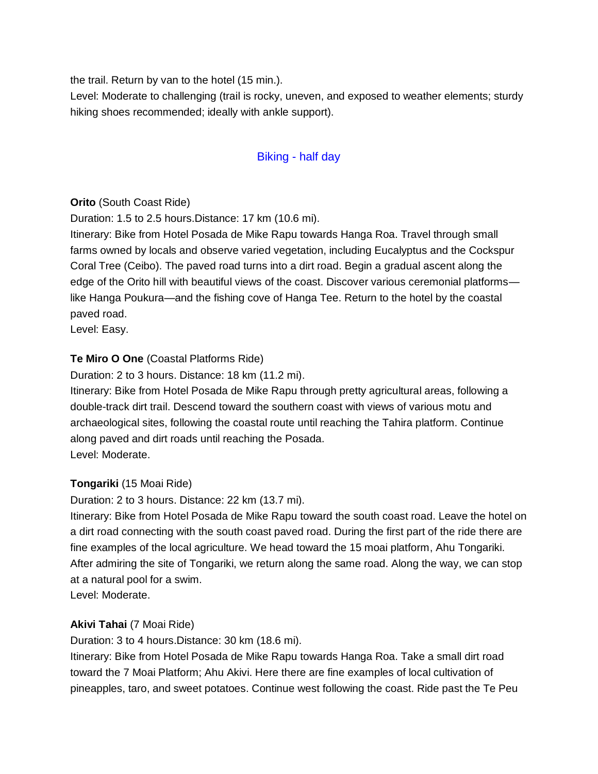the trail. Return by van to the hotel (15 min.).

Level: Moderate to challenging (trail is rocky, uneven, and exposed to weather elements; sturdy hiking shoes recommended; ideally with ankle support).

# Biking - half day

## **Orito** (South Coast Ride)

Duration: 1.5 to 2.5 hours.Distance: 17 km (10.6 mi).

Itinerary: Bike from Hotel Posada de Mike Rapu towards Hanga Roa. Travel through small farms owned by locals and observe varied vegetation, including Eucalyptus and the Cockspur Coral Tree (Ceibo). The paved road turns into a dirt road. Begin a gradual ascent along the edge of the Orito hill with beautiful views of the coast. Discover various ceremonial platforms like Hanga Poukura—and the fishing cove of Hanga Tee. Return to the hotel by the coastal paved road.

Level: Easy.

## **Te Miro O One** (Coastal Platforms Ride)

Duration: 2 to 3 hours. Distance: 18 km (11.2 mi).

Itinerary: Bike from Hotel Posada de Mike Rapu through pretty agricultural areas, following a double-track dirt trail. Descend toward the southern coast with views of various motu and archaeological sites, following the coastal route until reaching the Tahira platform. Continue along paved and dirt roads until reaching the Posada. Level: Moderate.

## **Tongariki** (15 Moai Ride)

Duration: 2 to 3 hours. Distance: 22 km (13.7 mi).

Itinerary: Bike from Hotel Posada de Mike Rapu toward the south coast road. Leave the hotel on a dirt road connecting with the south coast paved road. During the first part of the ride there are fine examples of the local agriculture. We head toward the 15 moai platform, Ahu Tongariki. After admiring the site of Tongariki, we return along the same road. Along the way, we can stop at a natural pool for a swim.

Level: Moderate.

## **Akivi Tahai** (7 Moai Ride)

Duration: 3 to 4 hours.Distance: 30 km (18.6 mi).

Itinerary: Bike from Hotel Posada de Mike Rapu towards Hanga Roa. Take a small dirt road toward the 7 Moai Platform; Ahu Akivi. Here there are fine examples of local cultivation of pineapples, taro, and sweet potatoes. Continue west following the coast. Ride past the Te Peu